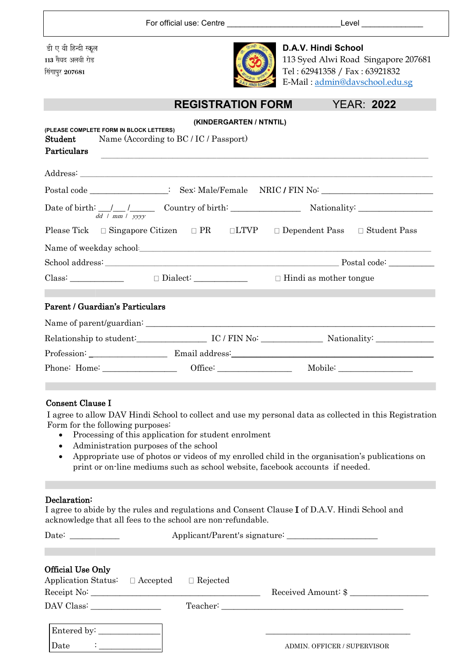|                                                                                              |                          | For official use: Centre ___________________________________Level ______________ |                                     |  |
|----------------------------------------------------------------------------------------------|--------------------------|----------------------------------------------------------------------------------|-------------------------------------|--|
| डी ए वी हिन्दी स्कूल                                                                         |                          | D.A.V. Hindi School                                                              |                                     |  |
| 113 सैयद अलवी रोड                                                                            |                          |                                                                                  | 113 Syed Alwi Road Singapore 207681 |  |
| सिंगापुर 207681                                                                              |                          | Tel: 62941358 / Fax: 63921832<br>E-Mail: admin@davschool.edu.sg                  |                                     |  |
|                                                                                              | <b>REGISTRATION FORM</b> |                                                                                  | <b>YEAR: 2022</b>                   |  |
|                                                                                              | (KINDERGARTEN / NTNTIL)  |                                                                                  |                                     |  |
| (PLEASE COMPLETE FORM IN BLOCK LETTERS)<br>Name (According to BC / IC / Passport)<br>Student |                          |                                                                                  |                                     |  |
| Particulars                                                                                  |                          |                                                                                  |                                     |  |
|                                                                                              |                          |                                                                                  |                                     |  |
| Postal code _________________: Sex: Male/Female NRIC / FIN No: _________________             |                          |                                                                                  |                                     |  |
| Date of birth: $\frac{1}{dd + mm + yyy}$ Country of birth: Nationality: Nationality:         |                          |                                                                                  |                                     |  |
| Please Tick □ Singapore Citizen □ PR □ LTVP □ Dependent Pass □ Student Pass                  |                          |                                                                                  |                                     |  |
| Name of weekday school: Name of weekday school:                                              |                          |                                                                                  |                                     |  |
|                                                                                              |                          |                                                                                  |                                     |  |
| Class: $\Box$ Dialect: $\Box$ Dialect: $\Box$ Hindi as mother tongue                         |                          |                                                                                  |                                     |  |
|                                                                                              |                          |                                                                                  |                                     |  |
| Parent / Guardian's Particulars                                                              |                          |                                                                                  |                                     |  |
|                                                                                              |                          |                                                                                  |                                     |  |
|                                                                                              |                          |                                                                                  |                                     |  |
| Profession: Email address: Email address:                                                    |                          |                                                                                  |                                     |  |
|                                                                                              |                          |                                                                                  |                                     |  |

#### Consent Clause I

I agree to allow DAV Hindi School to collect and use my personal data as collected in this Registration Form for the following purposes:

- Processing of this application for student enrolment
- Administration purposes of the school
- Appropriate use of photos or videos of my enrolled child in the organisation's publications on print or on-line mediums such as school website, facebook accounts if needed.

#### Declaration:

I agree to abide by the rules and regulations and Consent Clause I of D.A.V. Hindi School and acknowledge that all fees to the school are non-refundable.

|                                                                                                       | Applicant/Parent's signature: |  |                                                                                                                                                                                                                                                       |  |
|-------------------------------------------------------------------------------------------------------|-------------------------------|--|-------------------------------------------------------------------------------------------------------------------------------------------------------------------------------------------------------------------------------------------------------|--|
| Official Use Only<br>Application Status: $\Box$ Accepted $\Box$ Rejected<br>Receipt No:<br>DAV Class: |                               |  | Received Amount: \$<br>Teacher: The contract of the contract of the contract of the contract of the contract of the contract of the contract of the contract of the contract of the contract of the contract of the contract of the contract of the c |  |
| Entered by: _________<br>Date                                                                         |                               |  | <b>ADMIN. OFFICER / SUPERVISOR</b>                                                                                                                                                                                                                    |  |